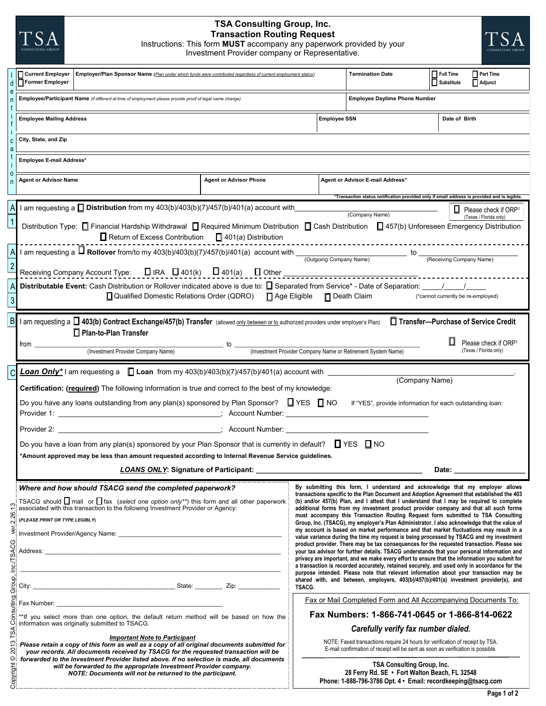# **TSA Consulting Group, Inc. Transaction Routing Request**

Instructions: This form **MUST** accompany any paperwork provided by your Investment Provider company or Representative.



| d                                                                                                                                                                                                                                                                                                                                                                                                                                                                                                                                                                                                                                                                                                                                                                                                                                                                                                                                                                                                                                                                                                                                              | <b>Current Employer   Employer/Plan Sponsor Name</b> (Plan under which funds were contributed regardless of current employment status)<br>Former Employer<br>Employee/Participant Name (if different at time of employment please provide proof of legal name change)                                                                                                                                                                                                                               |                                                                                             |                                                                                                                                                     | <b>Termination Date</b>          | $\prod$ Full Time<br>Substitute | Part Time<br>Adjunct   |  |
|------------------------------------------------------------------------------------------------------------------------------------------------------------------------------------------------------------------------------------------------------------------------------------------------------------------------------------------------------------------------------------------------------------------------------------------------------------------------------------------------------------------------------------------------------------------------------------------------------------------------------------------------------------------------------------------------------------------------------------------------------------------------------------------------------------------------------------------------------------------------------------------------------------------------------------------------------------------------------------------------------------------------------------------------------------------------------------------------------------------------------------------------|-----------------------------------------------------------------------------------------------------------------------------------------------------------------------------------------------------------------------------------------------------------------------------------------------------------------------------------------------------------------------------------------------------------------------------------------------------------------------------------------------------|---------------------------------------------------------------------------------------------|-----------------------------------------------------------------------------------------------------------------------------------------------------|----------------------------------|---------------------------------|------------------------|--|
|                                                                                                                                                                                                                                                                                                                                                                                                                                                                                                                                                                                                                                                                                                                                                                                                                                                                                                                                                                                                                                                                                                                                                |                                                                                                                                                                                                                                                                                                                                                                                                                                                                                                     |                                                                                             | <b>Employee Daytime Phone Number</b>                                                                                                                |                                  |                                 |                        |  |
| f                                                                                                                                                                                                                                                                                                                                                                                                                                                                                                                                                                                                                                                                                                                                                                                                                                                                                                                                                                                                                                                                                                                                              | <b>Employee Mailing Address</b>                                                                                                                                                                                                                                                                                                                                                                                                                                                                     |                                                                                             | <b>Employee SSN</b>                                                                                                                                 |                                  | Date of Birth                   |                        |  |
| C<br>a                                                                                                                                                                                                                                                                                                                                                                                                                                                                                                                                                                                                                                                                                                                                                                                                                                                                                                                                                                                                                                                                                                                                         | City, State, and Zip                                                                                                                                                                                                                                                                                                                                                                                                                                                                                |                                                                                             |                                                                                                                                                     |                                  |                                 |                        |  |
|                                                                                                                                                                                                                                                                                                                                                                                                                                                                                                                                                                                                                                                                                                                                                                                                                                                                                                                                                                                                                                                                                                                                                | Employee E-mail Address*                                                                                                                                                                                                                                                                                                                                                                                                                                                                            |                                                                                             |                                                                                                                                                     |                                  |                                 |                        |  |
| 0<br>n                                                                                                                                                                                                                                                                                                                                                                                                                                                                                                                                                                                                                                                                                                                                                                                                                                                                                                                                                                                                                                                                                                                                         | <b>Agent or Advisor Name</b>                                                                                                                                                                                                                                                                                                                                                                                                                                                                        | <b>Agent or Advisor Phone</b>                                                               |                                                                                                                                                     | Agent or Advisor E-mail Address* |                                 |                        |  |
|                                                                                                                                                                                                                                                                                                                                                                                                                                                                                                                                                                                                                                                                                                                                                                                                                                                                                                                                                                                                                                                                                                                                                | am requesting a <b>Distribution</b> from my $403(b)/403(b)/7)/457(b)/401(a)$ account with                                                                                                                                                                                                                                                                                                                                                                                                           | *Transaction status notification provided only if email address is provided and is legible. |                                                                                                                                                     |                                  | u                               | Please check if ORP1   |  |
|                                                                                                                                                                                                                                                                                                                                                                                                                                                                                                                                                                                                                                                                                                                                                                                                                                                                                                                                                                                                                                                                                                                                                | (Company Name)<br>(Texas / Florida only)<br>Distribution Type: □ Financial Hardship Withdrawal □ Required Minimum Distribution □ Cash Distribution □ 457(b) Unforeseen Emergency Distribution<br>$\Box$ Return of Excess Contribution $\Box$ 401(a) Distribution                                                                                                                                                                                                                                    |                                                                                             |                                                                                                                                                     |                                  |                                 |                        |  |
|                                                                                                                                                                                                                                                                                                                                                                                                                                                                                                                                                                                                                                                                                                                                                                                                                                                                                                                                                                                                                                                                                                                                                | 1 am requesting a $\Box$ Rollover from/to my 403(b)/403(b)(7)/457(b)/401(a) account with $\Box$ (Outgoing Company Name) to $\Box$                                                                                                                                                                                                                                                                                                                                                                   |                                                                                             |                                                                                                                                                     |                                  | (Receiving Company Name)        |                        |  |
|                                                                                                                                                                                                                                                                                                                                                                                                                                                                                                                                                                                                                                                                                                                                                                                                                                                                                                                                                                                                                                                                                                                                                |                                                                                                                                                                                                                                                                                                                                                                                                                                                                                                     |                                                                                             |                                                                                                                                                     |                                  |                                 |                        |  |
| 3                                                                                                                                                                                                                                                                                                                                                                                                                                                                                                                                                                                                                                                                                                                                                                                                                                                                                                                                                                                                                                                                                                                                              | <b>Distributable Event:</b> Cash Distribution or Rollover indicated above is due to: $\Box$ Separated from Service* - Date of Separation: $\Box$<br>□ Qualified Domestic Relations Order (QDRO) □ Age Eligible □ Death Claim<br>(*cannot currently be re-employed)                                                                                                                                                                                                                                  |                                                                                             |                                                                                                                                                     |                                  |                                 |                        |  |
| $\mathsf B$                                                                                                                                                                                                                                                                                                                                                                                                                                                                                                                                                                                                                                                                                                                                                                                                                                                                                                                                                                                                                                                                                                                                    | l am requesting a □ 403(b) Contract Exchange/457(b) Transfer (allowed <u>only between or to a</u> uthorized providers under employer's Plan)<br>□ Transfer-Purchase of Service Credit<br>□ Plan-to-Plan Transfer<br>Please check if ORP <sup>1</sup>                                                                                                                                                                                                                                                |                                                                                             |                                                                                                                                                     |                                  |                                 |                        |  |
| _ to __<br>trom<br>(Investment Provider Company Name or Retirement System Name)<br>(Investment Provider Company Name)                                                                                                                                                                                                                                                                                                                                                                                                                                                                                                                                                                                                                                                                                                                                                                                                                                                                                                                                                                                                                          |                                                                                                                                                                                                                                                                                                                                                                                                                                                                                                     |                                                                                             |                                                                                                                                                     |                                  |                                 | (Texas / Florida only) |  |
|                                                                                                                                                                                                                                                                                                                                                                                                                                                                                                                                                                                                                                                                                                                                                                                                                                                                                                                                                                                                                                                                                                                                                | Loan Only* I am requesting a $\Box$ Loan from my 403(b)/403(b)(7)/457(b)/401(a) account with __<br>(Company Name)                                                                                                                                                                                                                                                                                                                                                                                   |                                                                                             |                                                                                                                                                     |                                  |                                 |                        |  |
|                                                                                                                                                                                                                                                                                                                                                                                                                                                                                                                                                                                                                                                                                                                                                                                                                                                                                                                                                                                                                                                                                                                                                | Certification: (required) The following information is true and correct to the best of my knowledge:                                                                                                                                                                                                                                                                                                                                                                                                |                                                                                             |                                                                                                                                                     |                                  |                                 |                        |  |
|                                                                                                                                                                                                                                                                                                                                                                                                                                                                                                                                                                                                                                                                                                                                                                                                                                                                                                                                                                                                                                                                                                                                                | Do you have any loans outstanding from any plan(s) sponsored by Plan Sponsor? $\Box$ YES $\Box$ NO<br>If "YES", provide information for each outstanding loan:                                                                                                                                                                                                                                                                                                                                      |                                                                                             |                                                                                                                                                     |                                  |                                 |                        |  |
|                                                                                                                                                                                                                                                                                                                                                                                                                                                                                                                                                                                                                                                                                                                                                                                                                                                                                                                                                                                                                                                                                                                                                | Provider 2: The Count Number: Service State State State State State State State State State State State State State State State State State State State State State State State State State State State State State State Stat<br>Do you have a loan from any plan(s) sponsored by your Plan Sponsor that is currently in default? $\Box$ YES $\Box$ NO                                                                                                                                             |                                                                                             |                                                                                                                                                     |                                  |                                 |                        |  |
|                                                                                                                                                                                                                                                                                                                                                                                                                                                                                                                                                                                                                                                                                                                                                                                                                                                                                                                                                                                                                                                                                                                                                |                                                                                                                                                                                                                                                                                                                                                                                                                                                                                                     |                                                                                             |                                                                                                                                                     |                                  |                                 |                        |  |
|                                                                                                                                                                                                                                                                                                                                                                                                                                                                                                                                                                                                                                                                                                                                                                                                                                                                                                                                                                                                                                                                                                                                                | Amount approved may be less than amount requested according to Internal Revenue Service guidelines.<br><b>LOANS ONLY: Signature of Participant:</b><br>Date:                                                                                                                                                                                                                                                                                                                                        |                                                                                             |                                                                                                                                                     |                                  |                                 |                        |  |
| By submitting this form, I understand and acknowledge that my employer allows<br>Where and how should TSACG send the completed paperwork?<br>transactions specific to the Plan Document and Adoption Agreement that established the 403<br>TSACG should $\square$ mail or $\square$ fax (select one option only**) this form and all other paperwork associated with this transaction to the following Investment Provider or Agency:<br>(b) and/or 457(b) Plan, and I attest that I understand that I may be required to complete<br>S<br>additional forms from my investment product provider company and that all such forms<br>2.26<br>must accompany this Transaction Routing Request form submitted to TSA Consulting<br>(PLEASE PRINT OR TYPE LEGIBLY)<br>Group, Inc. (TSACG), my employer's Plan Administrator. I also acknowledge that the value of<br>my account is based on market performance and that market fluctuations may result in a<br>value variance during the time my request is being processed by TSACG and my investment<br>product provider. There may be tax consequences for the requested transaction. Please see |                                                                                                                                                                                                                                                                                                                                                                                                                                                                                                     |                                                                                             |                                                                                                                                                     |                                  |                                 |                        |  |
|                                                                                                                                                                                                                                                                                                                                                                                                                                                                                                                                                                                                                                                                                                                                                                                                                                                                                                                                                                                                                                                                                                                                                |                                                                                                                                                                                                                                                                                                                                                                                                                                                                                                     |                                                                                             |                                                                                                                                                     |                                  |                                 |                        |  |
| Inc./TSACG<br>Group,                                                                                                                                                                                                                                                                                                                                                                                                                                                                                                                                                                                                                                                                                                                                                                                                                                                                                                                                                                                                                                                                                                                           | Address:<br>your tax advisor for further details. TSACG understands that your personal information and<br>privacy are important, and we make every effort to ensure that the information you submit for<br>a transaction is recorded accurately, retained securely, and used only in accordance for the<br>purpose intended. Please note that relevant information about your transaction may be<br>shared with, and between, employers, 403(b)/457(b)/401(a) investment provider(s), and<br>TSACG. |                                                                                             |                                                                                                                                                     |                                  |                                 |                        |  |
| ulting.                                                                                                                                                                                                                                                                                                                                                                                                                                                                                                                                                                                                                                                                                                                                                                                                                                                                                                                                                                                                                                                                                                                                        |                                                                                                                                                                                                                                                                                                                                                                                                                                                                                                     |                                                                                             | Fax or Mail Completed Form and All Accompanying Documents To:                                                                                       |                                  |                                 |                        |  |
| isuo<br>ပ                                                                                                                                                                                                                                                                                                                                                                                                                                                                                                                                                                                                                                                                                                                                                                                                                                                                                                                                                                                                                                                                                                                                      | Fax Numbers: 1-866-741-0645 or 1-866-814-0622<br>**If you select more than one option, the default return method will be based on how the<br>information was originally submitted to TSACG.                                                                                                                                                                                                                                                                                                         |                                                                                             |                                                                                                                                                     |                                  |                                 |                        |  |
| TSA                                                                                                                                                                                                                                                                                                                                                                                                                                                                                                                                                                                                                                                                                                                                                                                                                                                                                                                                                                                                                                                                                                                                            | <b>Important Note to Participant</b><br>Please retain a copy of this form as well as a copy of all original documents submitted for<br>your records. All documents received by TSACG for the requested transaction will be<br>forwarded to the Investment Provider listed above. If no selection is made, all documents<br>will be forwarded to the appropriate Investment Provider company.<br>NOTE: Documents will not be returned to the participant.                                            |                                                                                             | Carefully verify fax number dialed.<br>NOTE: Faxed transactions require 24 hours for verification of receipt by TSA.                                |                                  |                                 |                        |  |
| 2013                                                                                                                                                                                                                                                                                                                                                                                                                                                                                                                                                                                                                                                                                                                                                                                                                                                                                                                                                                                                                                                                                                                                           |                                                                                                                                                                                                                                                                                                                                                                                                                                                                                                     |                                                                                             | E-mail confirmation of receipt will be sent as soon as verification is possible.                                                                    |                                  |                                 |                        |  |
| Copyright <sup>©</sup>                                                                                                                                                                                                                                                                                                                                                                                                                                                                                                                                                                                                                                                                                                                                                                                                                                                                                                                                                                                                                                                                                                                         |                                                                                                                                                                                                                                                                                                                                                                                                                                                                                                     |                                                                                             | <b>TSA Consulting Group, Inc.</b><br>28 Ferry Rd. SE . Fort Walton Beach, FL 32548<br>Phone: 1-888-796-3786 Opt. 4 · Email: recordkeeping@tsacg.com |                                  |                                 |                        |  |